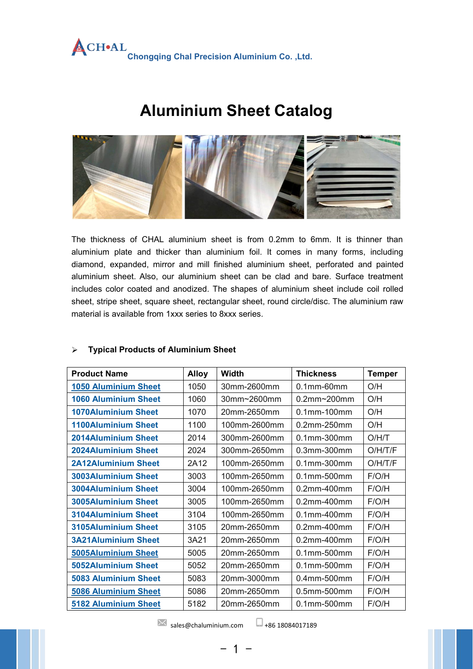

# **Aluminium Sheet Catalog**



The thickness of CHAL aluminium sheet is from 0.2mm to 6mm. It is thinner than aluminium plate and thicker than aluminium foil. It comes in many forms, including diamond, expanded, mirror and mill finished aluminium sheet, perforated and painted aluminium sheet. Also, our aluminium sheet can be clad and bare. Surface treatment includes color coated and anodized. The shapes of aluminium sheet include coil rolled sheet, stripe sheet, square sheet, rectangular sheet, round circle/disc. The aluminium raw material is available from 1xxx series to 8xxx series.

#### **Typical Products of Aluminium Sheet**

| <b>Product Name</b>         | <b>Alloy</b> | Width        | <b>Thickness</b>   | <b>Temper</b> |
|-----------------------------|--------------|--------------|--------------------|---------------|
| <b>1050 Aluminium Sheet</b> | 1050         | 30mm-2600mm  | $0.1$ mm-60mm      | O/H           |
| <b>1060 Aluminium Sheet</b> | 1060         | 30mm~2600mm  | $0.2$ mm~ $200$ mm | O/H           |
| <b>1070Aluminium Sheet</b>  | 1070         | 20mm-2650mm  | 0.1mm-100mm        | O/H           |
| <b>1100Aluminium Sheet</b>  | 1100         | 100mm-2600mm | 0.2mm-250mm        | O/H           |
| <b>2014Aluminium Sheet</b>  | 2014         | 300mm-2600mm | 0.1mm-300mm        | O/H/T         |
| <b>2024Aluminium Sheet</b>  | 2024         | 300mm-2650mm | 0.3mm-300mm        | O/H/T/F       |
| <b>2A12Aluminium Sheet</b>  | 2A12         | 100mm-2650mm | 0.1mm-300mm        | O/H/T/F       |
| <b>3003Aluminium Sheet</b>  | 3003         | 100mm-2650mm | $0.1$ mm-500mm     | F/O/H         |
| <b>3004Aluminium Sheet</b>  | 3004         | 100mm-2650mm | 0.2mm-400mm        | F/O/H         |
| <b>3005Aluminium Sheet</b>  | 3005         | 100mm-2650mm | 0.2mm-400mm        | F/O/H         |
| 3104Aluminium Sheet         | 3104         | 100mm-2650mm | 0.1mm-400mm        | F/O/H         |
| 3105Aluminium Sheet         | 3105         | 20mm-2650mm  | 0.2mm-400mm        | F/O/H         |
| <b>3A21Aluminium Sheet</b>  | 3A21         | 20mm-2650mm  | 0.2mm-400mm        | F/O/H         |
| <b>5005Aluminium Sheet</b>  | 5005         | 20mm-2650mm  | 0.1mm-500mm        | F/O/H         |
| <b>5052Aluminium Sheet</b>  | 5052         | 20mm-2650mm  | 0.1mm-500mm        | F/O/H         |
| <b>5083 Aluminium Sheet</b> | 5083         | 20mm-3000mm  | 0.4mm-500mm        | F/O/H         |
| <b>5086 Aluminium Sheet</b> | 5086         | 20mm-2650mm  | 0.5mm-500mm        | F/O/H         |
| <b>5182 Aluminium Sheet</b> | 5182         | 20mm-2650mm  | $0.1$ mm- $500$ mm | F/O/H         |

 $\times$  [sales@chaluminium.com](mailto:sales@chaluminium.com)  $\Box$  +86 [18084017189](https://www.chaluminium.com/products/detail/tel:+86 18084017189)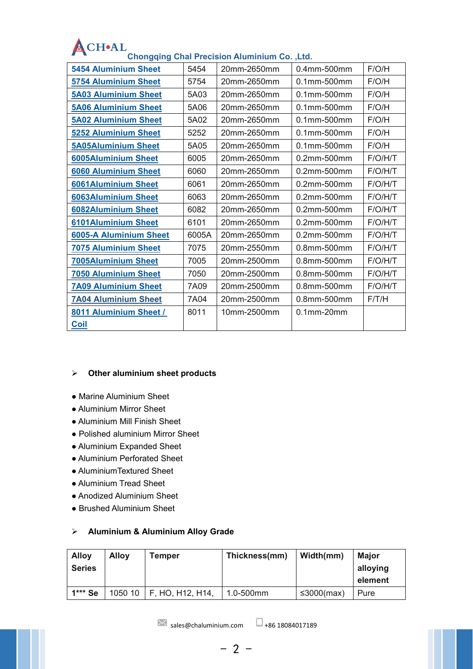| F/O/H<br><b>5454 Aluminium Sheet</b><br>5454<br>20mm-2650mm<br>0.4mm-500mm<br>F/O/H<br>5754<br>20mm-2650mm<br>$0.1$ mm-500 $mm$<br><b>5754 Aluminium Sheet</b><br><b>5A03 Aluminium Sheet</b><br>5A03<br>20mm-2650mm<br>0.1mm-500mm<br>F/O/H<br><b>5A06 Aluminium Sheet</b><br>5A06<br>20mm-2650mm<br>0.1mm-500mm<br>F/O/H<br>5A02<br>20mm-2650mm<br>0.1mm-500mm<br>F/O/H<br><b>5A02 Aluminium Sheet</b><br>5252<br>F/O/H<br><b>5252 Aluminium Sheet</b><br>20mm-2650mm<br>0.1mm-500mm<br>F/O/H<br><b>5A05Aluminium Sheet</b><br>5A05<br>20mm-2650mm<br>0.1mm-500mm<br>6005<br>F/O/H/T<br><b>6005Aluminium Sheet</b><br>20mm-2650mm<br>0.2mm-500mm<br>20mm-2650mm<br><b>6060 Aluminium Sheet</b><br>6060<br>0.2mm-500mm<br>F/O/H/T<br>6061<br>20mm-2650mm<br>0.2mm-500mm<br>F/O/H/T<br><b>6061Aluminium Sheet</b><br><b>6063Aluminium Sheet</b><br>6063<br>20mm-2650mm<br>0.2mm-500mm<br>F/O/H/T<br>6082<br>F/O/H/T<br><b>6082Aluminium Sheet</b><br>20mm-2650mm<br>0.2mm-500mm<br>6101Aluminium Sheet<br>6101<br>20mm-2650mm<br>0.2mm-500mm<br>F/O/H/T<br>6005A<br>0.2mm-500mm<br>F/O/H/T<br><b>6005-A Aluminium Sheet</b><br>20mm-2650mm<br>7075<br><b>7075 Aluminium Sheet</b><br>20mm-2550mm<br>0.8mm-500mm<br>F/O/H/T<br>F/O/H/T<br><b>7005Aluminium Sheet</b><br>7005<br>20mm-2500mm<br>0.8mm-500mm<br>20mm-2500mm<br><b>7050 Aluminium Sheet</b><br>7050<br>0.8mm-500mm<br>F/O/H/T<br><b>7A09 Aluminium Sheet</b><br>7A09<br>0.8mm-500mm<br>F/O/H/T<br>20mm-2500mm<br><b>7A04 Aluminium Sheet</b><br>7A04<br>20mm-2500mm<br>0.8mm-500mm<br>F/T/H<br>8011<br>10mm-2500mm<br>$0.1$ mm- $20$ mm<br>8011 Aluminium Sheet /<br><u>Coil</u> |  |  |  |
|----------------------------------------------------------------------------------------------------------------------------------------------------------------------------------------------------------------------------------------------------------------------------------------------------------------------------------------------------------------------------------------------------------------------------------------------------------------------------------------------------------------------------------------------------------------------------------------------------------------------------------------------------------------------------------------------------------------------------------------------------------------------------------------------------------------------------------------------------------------------------------------------------------------------------------------------------------------------------------------------------------------------------------------------------------------------------------------------------------------------------------------------------------------------------------------------------------------------------------------------------------------------------------------------------------------------------------------------------------------------------------------------------------------------------------------------------------------------------------------------------------------------------------------------------------------------------------------------------------------------------------------------|--|--|--|
|                                                                                                                                                                                                                                                                                                                                                                                                                                                                                                                                                                                                                                                                                                                                                                                                                                                                                                                                                                                                                                                                                                                                                                                                                                                                                                                                                                                                                                                                                                                                                                                                                                              |  |  |  |
|                                                                                                                                                                                                                                                                                                                                                                                                                                                                                                                                                                                                                                                                                                                                                                                                                                                                                                                                                                                                                                                                                                                                                                                                                                                                                                                                                                                                                                                                                                                                                                                                                                              |  |  |  |
|                                                                                                                                                                                                                                                                                                                                                                                                                                                                                                                                                                                                                                                                                                                                                                                                                                                                                                                                                                                                                                                                                                                                                                                                                                                                                                                                                                                                                                                                                                                                                                                                                                              |  |  |  |
|                                                                                                                                                                                                                                                                                                                                                                                                                                                                                                                                                                                                                                                                                                                                                                                                                                                                                                                                                                                                                                                                                                                                                                                                                                                                                                                                                                                                                                                                                                                                                                                                                                              |  |  |  |
|                                                                                                                                                                                                                                                                                                                                                                                                                                                                                                                                                                                                                                                                                                                                                                                                                                                                                                                                                                                                                                                                                                                                                                                                                                                                                                                                                                                                                                                                                                                                                                                                                                              |  |  |  |
|                                                                                                                                                                                                                                                                                                                                                                                                                                                                                                                                                                                                                                                                                                                                                                                                                                                                                                                                                                                                                                                                                                                                                                                                                                                                                                                                                                                                                                                                                                                                                                                                                                              |  |  |  |
|                                                                                                                                                                                                                                                                                                                                                                                                                                                                                                                                                                                                                                                                                                                                                                                                                                                                                                                                                                                                                                                                                                                                                                                                                                                                                                                                                                                                                                                                                                                                                                                                                                              |  |  |  |
|                                                                                                                                                                                                                                                                                                                                                                                                                                                                                                                                                                                                                                                                                                                                                                                                                                                                                                                                                                                                                                                                                                                                                                                                                                                                                                                                                                                                                                                                                                                                                                                                                                              |  |  |  |
|                                                                                                                                                                                                                                                                                                                                                                                                                                                                                                                                                                                                                                                                                                                                                                                                                                                                                                                                                                                                                                                                                                                                                                                                                                                                                                                                                                                                                                                                                                                                                                                                                                              |  |  |  |
|                                                                                                                                                                                                                                                                                                                                                                                                                                                                                                                                                                                                                                                                                                                                                                                                                                                                                                                                                                                                                                                                                                                                                                                                                                                                                                                                                                                                                                                                                                                                                                                                                                              |  |  |  |
|                                                                                                                                                                                                                                                                                                                                                                                                                                                                                                                                                                                                                                                                                                                                                                                                                                                                                                                                                                                                                                                                                                                                                                                                                                                                                                                                                                                                                                                                                                                                                                                                                                              |  |  |  |
|                                                                                                                                                                                                                                                                                                                                                                                                                                                                                                                                                                                                                                                                                                                                                                                                                                                                                                                                                                                                                                                                                                                                                                                                                                                                                                                                                                                                                                                                                                                                                                                                                                              |  |  |  |
|                                                                                                                                                                                                                                                                                                                                                                                                                                                                                                                                                                                                                                                                                                                                                                                                                                                                                                                                                                                                                                                                                                                                                                                                                                                                                                                                                                                                                                                                                                                                                                                                                                              |  |  |  |
|                                                                                                                                                                                                                                                                                                                                                                                                                                                                                                                                                                                                                                                                                                                                                                                                                                                                                                                                                                                                                                                                                                                                                                                                                                                                                                                                                                                                                                                                                                                                                                                                                                              |  |  |  |
|                                                                                                                                                                                                                                                                                                                                                                                                                                                                                                                                                                                                                                                                                                                                                                                                                                                                                                                                                                                                                                                                                                                                                                                                                                                                                                                                                                                                                                                                                                                                                                                                                                              |  |  |  |
|                                                                                                                                                                                                                                                                                                                                                                                                                                                                                                                                                                                                                                                                                                                                                                                                                                                                                                                                                                                                                                                                                                                                                                                                                                                                                                                                                                                                                                                                                                                                                                                                                                              |  |  |  |
|                                                                                                                                                                                                                                                                                                                                                                                                                                                                                                                                                                                                                                                                                                                                                                                                                                                                                                                                                                                                                                                                                                                                                                                                                                                                                                                                                                                                                                                                                                                                                                                                                                              |  |  |  |
|                                                                                                                                                                                                                                                                                                                                                                                                                                                                                                                                                                                                                                                                                                                                                                                                                                                                                                                                                                                                                                                                                                                                                                                                                                                                                                                                                                                                                                                                                                                                                                                                                                              |  |  |  |
|                                                                                                                                                                                                                                                                                                                                                                                                                                                                                                                                                                                                                                                                                                                                                                                                                                                                                                                                                                                                                                                                                                                                                                                                                                                                                                                                                                                                                                                                                                                                                                                                                                              |  |  |  |
|                                                                                                                                                                                                                                                                                                                                                                                                                                                                                                                                                                                                                                                                                                                                                                                                                                                                                                                                                                                                                                                                                                                                                                                                                                                                                                                                                                                                                                                                                                                                                                                                                                              |  |  |  |
|                                                                                                                                                                                                                                                                                                                                                                                                                                                                                                                                                                                                                                                                                                                                                                                                                                                                                                                                                                                                                                                                                                                                                                                                                                                                                                                                                                                                                                                                                                                                                                                                                                              |  |  |  |

# **Chongqing Chal Precision Aluminium Co. ,Ltd.**

### **Other aluminium sheet products**

- Marine Aluminium Sheet
- Aluminium Mirror Sheet
- Aluminium Mill Finish Sheet
- Polished aluminium Mirror Sheet
- Aluminium Expanded Sheet
- Aluminium Perforated Sheet
- AluminiumTextured Sheet
- Aluminium Tread Sheet
- Anodized Aluminium Sheet
- Brushed Aluminium Sheet

#### **Aluminium & Aluminium Alloy Grade**

| <b>Alloy</b><br><b>Series</b> | <b>Alloy</b> | Temper           | Thickness(mm) | Width(mm)  | <b>Major</b><br>alloying |
|-------------------------------|--------------|------------------|---------------|------------|--------------------------|
|                               |              |                  |               |            | element                  |
| 1*** Se                       | 1050 10      | F, HO, H12, H14, | 1.0-500mm     | ≤3000(max) | Pure                     |